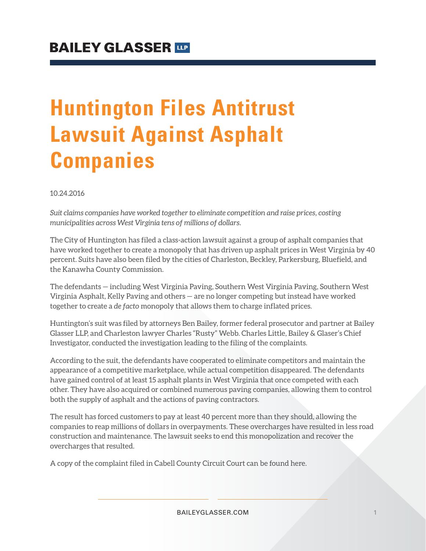# **Huntington Files Antitrust Lawsuit Against Asphalt Companies**

10.24.2016

*Suit claims companies have worked together to eliminate competition and raise prices, costing municipalities across West Virginia tens of millions of dollars.*

The City of Huntington has filed a class-action lawsuit against a group of asphalt companies that have worked together to create a monopoly that has driven up asphalt prices in West Virginia by 40 percent. Suits have also been filed by the cities of Charleston, Beckley, Parkersburg, Bluefield, and the Kanawha County Commission.

The defendants — including West Virginia Paving, Southern West Virginia Paving, Southern West Virginia Asphalt, Kelly Paving and others — are no longer competing but instead have worked together to create a *de facto* monopoly that allows them to charge inflated prices.

Huntington's suit was filed by attorneys Ben Bailey, former federal prosecutor and partner at Bailey Glasser LLP, and Charleston lawyer Charles "Rusty" Webb. Charles Little, Bailey & Glaser's Chief Investigator, conducted the investigation leading to the filing of the complaints.

According to the suit, the defendants have cooperated to eliminate competitors and maintain the appearance of a competitive marketplace, while actual competition disappeared. The defendants have gained control of at least 15 asphalt plants in West Virginia that once competed with each other. They have also acquired or combined numerous paving companies, allowing them to control both the supply of asphalt and the actions of paving contractors.

The result has forced customers to pay at least 40 percent more than they should, allowing the companies to reap millions of dollars in overpayments. These overcharges have resulted in less road construction and maintenance. The lawsuit seeks to end this monopolization and recover the overcharges that resulted.

A copy of the complaint filed in Cabell County Circuit Court can be found here.